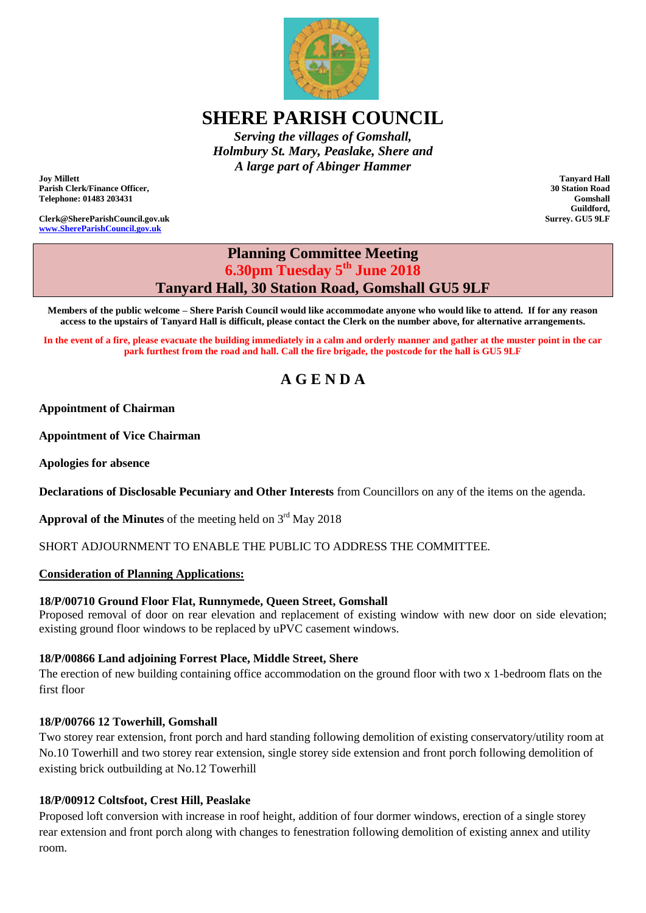

## **SHERE PARISH COUNCIL**

*Serving the villages of Gomshall, Holmbury St. Mary, Peaslake, Shere and A large part of Abinger Hammer*

**Joy Millett Parish Clerk/Finance Officer, Telephone: 01483 203431**

**Clerk@ShereParishCouncil.gov.uk [www.ShereParishCouncil.gov.uk](http://www.shereparishcouncil.gov.uk/)**

**Tanyard Hall 30 Station Road Gomshall Guildford, Surrey. GU5 9LF**

### **Planning Committee Meeting 6.30pm Tuesday 5th June 2018 Tanyard Hall, 30 Station Road, Gomshall GU5 9LF**

**Members of the public welcome – Shere Parish Council would like accommodate anyone who would like to attend. If for any reason access to the upstairs of Tanyard Hall is difficult, please contact the Clerk on the number above, for alternative arrangements.**

**In the event of a fire, please evacuate the building immediately in a calm and orderly manner and gather at the muster point in the car park furthest from the road and hall. Call the fire brigade, the postcode for the hall is GU5 9LF**

# **A G E N D A**

#### **Appointment of Chairman**

**Appointment of Vice Chairman**

**Apologies for absence**

**Declarations of Disclosable Pecuniary and Other Interests** from Councillors on any of the items on the agenda.

**Approval of the Minutes** of the meeting held on  $3<sup>rd</sup>$  May 2018

SHORT ADJOURNMENT TO ENABLE THE PUBLIC TO ADDRESS THE COMMITTEE.

#### **Consideration of Planning Applications:**

#### **18/P/00710 Ground Floor Flat, Runnymede, Queen Street, Gomshall**

Proposed removal of door on rear elevation and replacement of existing window with new door on side elevation; existing ground floor windows to be replaced by uPVC casement windows.

#### **18/P/00866 Land adjoining Forrest Place, Middle Street, Shere**

The erection of new building containing office accommodation on the ground floor with two x 1-bedroom flats on the first floor

#### **18/P/00766 12 Towerhill, Gomshall**

Two storey rear extension, front porch and hard standing following demolition of existing conservatory/utility room at No.10 Towerhill and two storey rear extension, single storey side extension and front porch following demolition of existing brick outbuilding at No.12 Towerhill

#### **18/P/00912 Coltsfoot, Crest Hill, Peaslake**

Proposed loft conversion with increase in roof height, addition of four dormer windows, erection of a single storey rear extension and front porch along with changes to fenestration following demolition of existing annex and utility room.